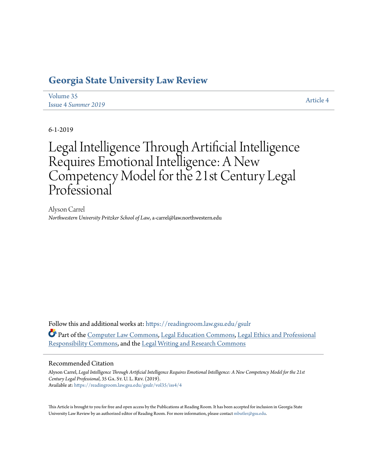# **[Georgia State University Law Review](https://readingroom.law.gsu.edu/gsulr?utm_source=readingroom.law.gsu.edu%2Fgsulr%2Fvol35%2Fiss4%2F4&utm_medium=PDF&utm_campaign=PDFCoverPages)**

| Volume 35           | <b>Article 4</b> |
|---------------------|------------------|
| Issue 4 Summer 2019 |                  |

6-1-2019

# Legal Intelligence Through Artificial Intelligence Requires Emotional Intelligence: A New Competency Model for the 21st Century Legal Professional<sup>®</sup>

Alyson Carrel *Northwestern University Pritzker School of Law*, a-carrel@law.northwestern.edu

Follow this and additional works at: [https://readingroom.law.gsu.edu/gsulr](https://readingroom.law.gsu.edu/gsulr?utm_source=readingroom.law.gsu.edu%2Fgsulr%2Fvol35%2Fiss4%2F4&utm_medium=PDF&utm_campaign=PDFCoverPages) Part of the [Computer Law Commons,](http://network.bepress.com/hgg/discipline/837?utm_source=readingroom.law.gsu.edu%2Fgsulr%2Fvol35%2Fiss4%2F4&utm_medium=PDF&utm_campaign=PDFCoverPages) [Legal Education Commons,](http://network.bepress.com/hgg/discipline/857?utm_source=readingroom.law.gsu.edu%2Fgsulr%2Fvol35%2Fiss4%2F4&utm_medium=PDF&utm_campaign=PDFCoverPages) [Legal Ethics and Professional](http://network.bepress.com/hgg/discipline/895?utm_source=readingroom.law.gsu.edu%2Fgsulr%2Fvol35%2Fiss4%2F4&utm_medium=PDF&utm_campaign=PDFCoverPages) [Responsibility Commons](http://network.bepress.com/hgg/discipline/895?utm_source=readingroom.law.gsu.edu%2Fgsulr%2Fvol35%2Fiss4%2F4&utm_medium=PDF&utm_campaign=PDFCoverPages), and the [Legal Writing and Research Commons](http://network.bepress.com/hgg/discipline/614?utm_source=readingroom.law.gsu.edu%2Fgsulr%2Fvol35%2Fiss4%2F4&utm_medium=PDF&utm_campaign=PDFCoverPages)

# Recommended Citation

Alyson Carrel, *Legal Intelligence Through Artificial Intelligence Requires Emotional Intelligence: A New Competency Model for the 21st Century Legal Professional*, 35 Ga. St. U. L. Rev. (2019). Available at: [https://readingroom.law.gsu.edu/gsulr/vol35/iss4/4](https://readingroom.law.gsu.edu/gsulr/vol35/iss4/4?utm_source=readingroom.law.gsu.edu%2Fgsulr%2Fvol35%2Fiss4%2F4&utm_medium=PDF&utm_campaign=PDFCoverPages)

This Article is brought to you for free and open access by the Publications at Reading Room. It has been accepted for inclusion in Georgia State University Law Review by an authorized editor of Reading Room. For more information, please contact [mbutler@gsu.edu.](mailto:mbutler@gsu.edu)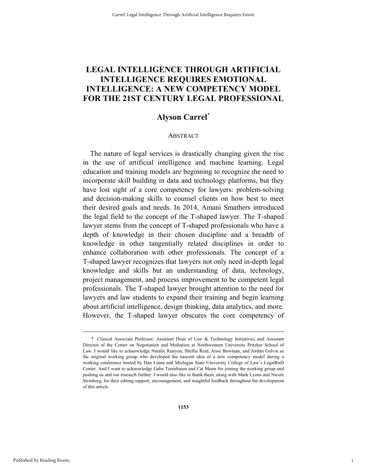# **LEGAL INTELLIGENCE THROUGH ARTIFICIAL INTELLIGENCE REQUIRES EMOTIONAL INTELLIGENCE: A NEW COMPETENCY MODEL FOR THE 21ST CENTURY LEGAL PROFESSIONAL**

# **Alyson Carrel\***

#### ABSTRACT

The nature of legal services is drastically changing given the rise in the use of artificial intelligence and machine learning. Legal education and training models are beginning to recognize the need to incorporate skill building in data and technology platforms, but they have lost sight of a core competency for lawyers: problem-solving and decision-making skills to counsel clients on how best to meet their desired goals and needs. In 2014, Amani Smathers introduced the legal field to the concept of the T-shaped lawyer. The T-shaped lawyer stems from the concept of T-shaped professionals who have a depth of knowledge in their chosen discipline and a breadth of knowledge in other tangentially related disciplines in order to enhance collaboration with other professionals. The concept of a T-shaped lawyer recognizes that lawyers not only need in-depth legal knowledge and skills but an understanding of data, technology, project management, and process improvement to be competent legal professionals. The T-shaped lawyer brought attention to the need for lawyers and law students to expand their training and begin learning about artificial intelligence, design thinking, data analytics, and more. However, the T-shaped lawyer obscures the core competency of

1

 <sup>\*</sup> Clinical Associate Professor, Assistant Dean of Law & Technology Initiatives, and Assistant Director of the Center on Negotiation and Mediation at Northwestern University Pritzker School of Law. I would like to acknowledge Natalie Runyon, Shellie Reid, Jesse Bowman, and Jordan Galvin as the original working group who developed the nascent idea of a new competency model during a working conference hosted by Dan Linna and Michigan State University College of Law's LegalRnD Center. And I want to acknowledge Gabe Teninbaum and Cat Moon for joining the working group and pushing us and our research further. I would also like to thank them, along with Mark Lyons and Nicole Steinberg, for their editing support, encouragement, and insightful feedback throughout the development of this article.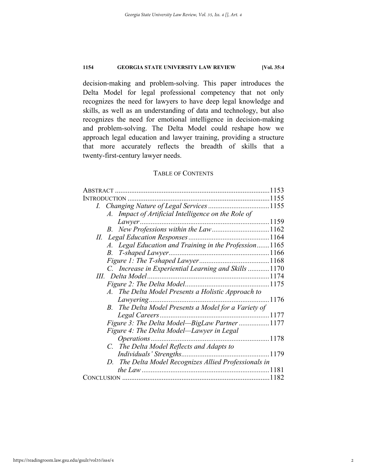decision-making and problem-solving. This paper introduces the Delta Model for legal professional competency that not only recognizes the need for lawyers to have deep legal knowledge and skills, as well as an understanding of data and technology, but also recognizes the need for emotional intelligence in decision-making and problem-solving. The Delta Model could reshape how we approach legal education and lawyer training, providing a structure that more accurately reflects the breadth of skills that a twenty-first-century lawyer needs.

# TABLE OF CONTENTS

| ABSTRACT                                              | 1153   |
|-------------------------------------------------------|--------|
| <b>INTRODUCTION</b>                                   | .1155  |
|                                                       |        |
| A. Impact of Artificial Intelligence on the Role of   |        |
| Lawyer                                                |        |
| B. New Professions within the Law1162                 |        |
|                                                       |        |
| A. Legal Education and Training in the Profession1165 |        |
|                                                       |        |
|                                                       |        |
| C. Increase in Experiential Learning and Skills 1170  |        |
| III. Delta Model                                      |        |
|                                                       |        |
| A. The Delta Model Presents a Holistic Approach to    |        |
|                                                       | . 1176 |
| B. The Delta Model Presents a Model for a Variety of  |        |
| Legal Careers                                         |        |
| Figure 3: The Delta Model-BigLaw Partner 1177         |        |
| Figure 4: The Delta Model—Lawyer in Legal             |        |
| 1178<br>Operations                                    |        |
| C. The Delta Model Reflects and Adapts to             |        |
|                                                       |        |
| D. The Delta Model Recognizes Allied Professionals in |        |
|                                                       | 1181   |
|                                                       | 1182   |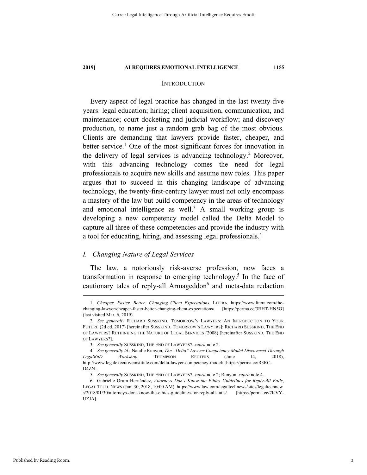#### INTRODUCTION

Every aspect of legal practice has changed in the last twenty-five years: legal education; hiring; client acquisition, communication, and maintenance; court docketing and judicial workflow; and discovery production, to name just a random grab bag of the most obvious. Clients are demanding that lawyers provide faster, cheaper, and better service.<sup>1</sup> One of the most significant forces for innovation in the delivery of legal services is advancing technology.<sup>2</sup> Moreover, with this advancing technology comes the need for legal professionals to acquire new skills and assume new roles. This paper argues that to succeed in this changing landscape of advancing technology, the twenty-first-century lawyer must not only encompass a mastery of the law but build competency in the areas of technology and emotional intelligence as well.<sup>3</sup> A small working group is developing a new competency model called the Delta Model to capture all three of these competencies and provide the industry with a tool for educating, hiring, and assessing legal professionals.4

# *I. Changing Nature of Legal Services*

The law, a notoriously risk-averse profession, now faces a transformation in response to emerging technology.<sup>5</sup> In the face of cautionary tales of reply-all Armageddon<sup>6</sup> and meta-data redaction

3

 <sup>1.</sup> *Cheaper, Faster, Better: Changing Client Expectations*, LITERA, https://www.litera.com/thechanging-lawyer/cheaper-faster-better-changing-client-expectations/ [https://perma.cc/3RHT-HN5G] (last visited Mar. 6, 2019).

 <sup>2</sup>*. See generally* RICHARD SUSSKIND, TOMORROW'S LAWYERS: AN INTRODUCTION TO YOUR FUTURE (2d ed. 2017) [hereinafter SUSSKIND, TOMORROW'S LAWYERS]; RICHARD SUSSKIND, THE END OF LAWYERS? RETHINKING THE NATURE OF LEGAL SERVICES (2008) [hereinafter SUSSKIND, THE END OF LAWYERS?].

 <sup>3.</sup> *See generally* SUSSKIND, THE END OF LAWYERS?, *supra* note 2.

 <sup>4.</sup> *See generally id.*; Natalie Runyon, *The "Delta" Lawyer Competency Model Discovered Through LegalRnD Workshop*, THOMPSON REUTERS (June 14, 2018), http://www.legalexecutiveinstitute.com/delta-lawyer-competency-model/ [https://perma.cc/R3RC-D4ZN].

 <sup>5.</sup> *See generally* SUSSKIND, THE END OF LAWYERS?, *supra* note 2; Runyon, *supra* note 4.

 <sup>6.</sup> Gabrielle Orum Hernández, *Attorneys Don't Know the Ethics Guidelines for Reply-All Fails*, LEGAL TECH. NEWS (Jan. 30, 2018, 10:00 AM), https://www.law.com/legaltechnews/sites/legaltechnew s/2018/01/30/attorneys-dont-know-the-ethics-guidelines-for-reply-all-fails/ [https://perma.cc/7KVY-UZJA].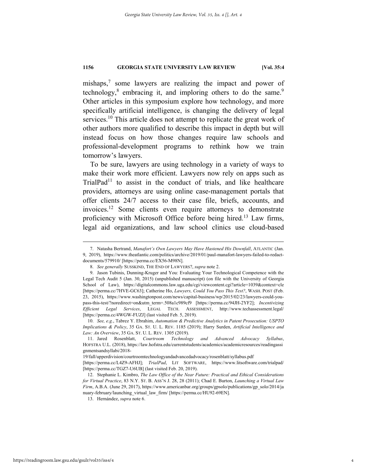mishaps, $\frac{7}{7}$  some lawyers are realizing the impact and power of technology,<sup>8</sup> embracing it, and imploring others to do the same.<sup>9</sup> Other articles in this symposium explore how technology, and more specifically artificial intelligence, is changing the delivery of legal services.<sup>10</sup> This article does not attempt to replicate the great work of other authors more qualified to describe this impact in depth but will instead focus on how those changes require law schools and professional-development programs to rethink how we train tomorrow's lawyers.

To be sure, lawyers are using technology in a variety of ways to make their work more efficient. Lawyers now rely on apps such as  $TriallPad<sup>11</sup>$  to assist in the conduct of trials, and like healthcare providers, attorneys are using online case-management portals that offer clients 24/7 access to their case file, briefs, accounts, and invoices.12 Some clients even require attorneys to demonstrate proficiency with Microsoft Office before being hired.<sup>13</sup> Law firms, legal aid organizations, and law school clinics use cloud-based

 <sup>7.</sup> Natasha Bertrand, *Manafort's Own Lawyers May Have Hastened His Downfall*, ATLANTIC (Jan. 9, 2019), https://www.theatlantic.com/politics/archive/2019/01/paul-manafort-lawyers-failed-to-redactdocuments/579910/ [https://perma.cc/EX56-M98N].

 <sup>8.</sup> *See generally* SUSSKIND, THE END OF LAWYERS?, *supra* note 2.

 <sup>9.</sup> Jason Tubinis, Dunning-Kruger and You: Evaluating Your Technological Competence with the Legal Tech Audit 5 (Jan. 30, 2015) (unpublished manuscript) (on file with the University of Georgia School of Law), https://digitalcommons.law.uga.edu/cgi/viewcontent.cgi?article=1039&context=cle [https://perma.cc/7HVE-GC63]; Catherine Ho, *Lawyers, Could You Pass This Test?*, WASH. POST (Feb. 23, 2015), https://www.washingtonpost.com/news/capital-business/wp/2015/02/23/lawyers-could-youpass-this-test/?noredirect=on&utm\_term=.508a1c989cf9 [https://perma.cc/94JH-2YF2]; *Incentivizing Efficient Legal Services*, LEGAL TECH. ASSESSMENT, http://www.techassessment.legal/ [https://perma.cc/4WGW-FUZJ] (last visited Feb. 5, 2019).

 <sup>10.</sup> *See, e.g.*, Tabrez Y. Ebrahim, *Automation & Predictive Analytics in Patent Prosecution: USPTO Implications & Policy*, 35 GA. ST. U. L. REV. 1185 (2019); Harry Surden, *Artificial Intelligence and Law: An Overview*, 35 GA. ST. U. L. REV. 1305 (2019).

 <sup>11.</sup> Jared Rosenblatt, *Courtroom Technology and Advanced Advocacy Syllabus*, HOFSTRA U.L. (2018), https://law.hofstra.edu/currentstudents/academics/academicresources/readingassi gnmentsandsyllabi/2018-

<sup>19/</sup>fall/upperdivision/courtroomtechnologyandadvancedadvocacy/rosenblatt/syllabus.pdf

<sup>[</sup>https://perma.cc/L4Z9-AFHJ]; *TrialPad*, LIT SOFTWARE, https://www.litsoftware.com/trialpad/ [https://perma.cc/TGZ7-U6UB] (last visited Feb. 20, 2019).

 <sup>12.</sup> Stephanie L. Kimbro, *The Law Office of the Near Future: Practical and Ethical Considerations for Virtual Practice*, 83 N.Y. ST. B. ASS'N J. 28, 28 (2011); Chad E. Burton, *Launching a Virtual Law Firm*, A.B.A. (June 29, 2017), https://www.americanbar.org/groups/gpsolo/publications/gp\_solo/2014/ja nuary-february/launching\_virtual\_law\_firm/ [https://perma.cc/HU92-69EN].

 <sup>13.</sup> Hernández, *supra* note 6.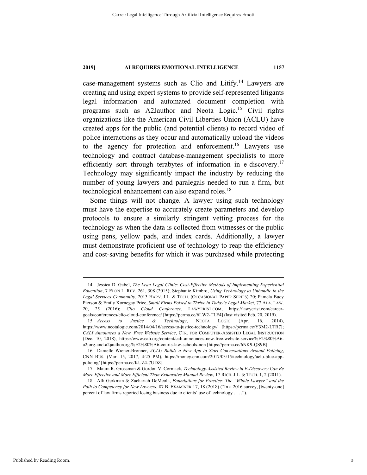case-management systems such as Clio and Litify.14 Lawyers are creating and using expert systems to provide self-represented litigants legal information and automated document completion with programs such as A2Jauthor and Neota Logic.<sup>15</sup> Civil rights organizations like the American Civil Liberties Union (ACLU) have created apps for the public (and potential clients) to record video of police interactions as they occur and automatically upload the videos to the agency for protection and enforcement.<sup>16</sup> Lawyers use technology and contract database-management specialists to more efficiently sort through terabytes of information in e-discovery.<sup>17</sup> Technology may significantly impact the industry by reducing the number of young lawyers and paralegals needed to run a firm, but technological enhancement can also expand roles.<sup>18</sup>

Some things will not change. A lawyer using such technology must have the expertise to accurately create parameters and develop protocols to ensure a similarly stringent vetting process for the technology as when the data is collected from witnesses or the public using pens, yellow pads, and index cards. Additionally, a lawyer must demonstrate proficient use of technology to reap the efficiency and cost-saving benefits for which it was purchased while protecting

 <sup>14.</sup> Jessica D. Gabel, *The Lean Legal Clinic: Cost-Effective Methods of Implementing Experiential Education*, 7 ELON L. REV. 261, 308 (2015); Stephanie Kimbro, *Using Technology to Unbundle in the Legal Services Community*, 2013 HARV. J.L. & TECH. (OCCASIONAL PAPER SERIES) 20; Pamela Bucy Pierson & Emily Kornegay Price, *Small Firms Poised to Thrive in Today's Legal Market*, 77 ALA. LAW. 20, 25 (2016); *Clio Cloud Conference*, LAWYERIST.COM, https://lawyerist.com/careergoals/conferences/clio-cloud-conference/ [https://perma.cc/6LW2-TLF4] (last visited Feb. 20, 2019). 15. *Access to Justice & Technology*, NEOTA LOGIC (Apr. 16, 2014),

https://www.neotalogic.com/2014/04/16/access-to-justice-technology/ [https://perma.cc/Y3M2-LTR7]; *CALI Announces a New, Free Website Service*, CTR. FOR COMPUTER-ASSISTED LEGAL INSTRUCTION (Dec. 10, 2018), https://www.cali.org/content/cali-announces-new-free-website-service%E2%80%A6 a2jorg-and-a2jauthororg-%E2%80%A6-courts-law-schools-non [https://perma.cc/6NK9-QS9B].

 <sup>16.</sup> Danielle Wiener-Bronner, *ACLU Builds a New App to Start Conversations Around Policing*, CNN BUS. (Mar. 15, 2017, 4:25 PM), https://money.cnn.com/2017/03/15/technology/aclu-blue-apppolicing/ [https://perma.cc/KUZ4-7UDZ].

 <sup>17.</sup> Maura R. Grossman & Gordon V. Cormack, *Technology-Assisted Review in E-Discovery Can Be More Effective and More Efficient Than Exhaustive Manual Review*, 17 RICH. J.L. & TECH. 1, 2 (2011).

 <sup>18.</sup> Alli Gerkman & Zachariah DeMeola, *Foundations for Practice: The "Whole Lawyer" and the Path to Competency for New Lawyers*, 87 B. EXAMINER 17, 18 (2018) ("In a 2016 survey, [twenty-one] percent of law firms reported losing business due to clients' use of technology . . . .").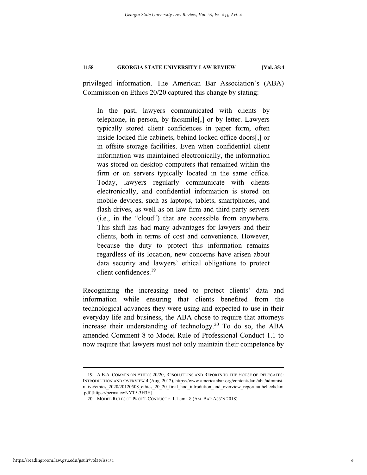privileged information. The American Bar Association's (ABA) Commission on Ethics 20/20 captured this change by stating:

In the past, lawyers communicated with clients by telephone, in person, by facsimile[,] or by letter. Lawyers typically stored client confidences in paper form, often inside locked file cabinets, behind locked office doors[,] or in offsite storage facilities. Even when confidential client information was maintained electronically, the information was stored on desktop computers that remained within the firm or on servers typically located in the same office. Today, lawyers regularly communicate with clients electronically, and confidential information is stored on mobile devices, such as laptops, tablets, smartphones, and flash drives, as well as on law firm and third-party servers (i.e., in the "cloud") that are accessible from anywhere. This shift has had many advantages for lawyers and their clients, both in terms of cost and convenience. However, because the duty to protect this information remains regardless of its location, new concerns have arisen about data security and lawyers' ethical obligations to protect client confidences.19

Recognizing the increasing need to protect clients' data and information while ensuring that clients benefited from the technological advances they were using and expected to use in their everyday life and business, the ABA chose to require that attorneys increase their understanding of technology.20 To do so, the ABA amended Comment 8 to Model Rule of Professional Conduct 1.1 to now require that lawyers must not only maintain their competence by

 <sup>19</sup>*.* A.B.A. COMM'N ON ETHICS 20/20, RESOLUTIONS AND REPORTS TO THE HOUSE OF DELEGATES: INTRODUCTION AND OVERVIEW 4 (Aug. 2012), https://www.americanbar.org/content/dam/aba/administ rative/ethics\_2020/20120508\_ethics\_20\_20\_final\_hod\_introdution\_and\_overview\_report.authcheckdam .pdf [https://perma.cc/NYT5-3H3H].

 <sup>20.</sup> MODEL RULES OF PROF'L CONDUCT r. 1.1 cmt. 8 (AM. BAR ASS'N 2018).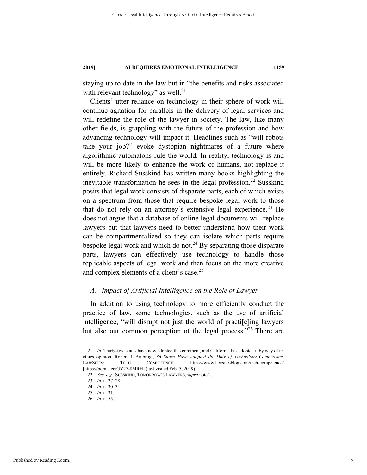staying up to date in the law but in "the benefits and risks associated with relevant technology" as well.<sup>21</sup>

Clients' utter reliance on technology in their sphere of work will continue agitation for parallels in the delivery of legal services and will redefine the role of the lawyer in society. The law, like many other fields, is grappling with the future of the profession and how advancing technology will impact it. Headlines such as "will robots take your job?" evoke dystopian nightmares of a future where algorithmic automatons rule the world. In reality, technology is and will be more likely to enhance the work of humans, not replace it entirely. Richard Susskind has written many books highlighting the inevitable transformation he sees in the legal profession.<sup>22</sup> Susskind posits that legal work consists of disparate parts, each of which exists on a spectrum from those that require bespoke legal work to those that do not rely on an attorney's extensive legal experience.<sup>23</sup> He does not argue that a database of online legal documents will replace lawyers but that lawyers need to better understand how their work can be compartmentalized so they can isolate which parts require bespoke legal work and which do not.<sup>24</sup> By separating those disparate parts, lawyers can effectively use technology to handle those replicable aspects of legal work and then focus on the more creative and complex elements of a client's case.<sup>25</sup>

# *A. Impact of Artificial Intelligence on the Role of Lawyer*

In addition to using technology to more efficiently conduct the practice of law, some technologies, such as the use of artificial intelligence, "will disrupt not just the world of practi[c]ing lawyers but also our common perception of the legal process."26 There are

 <sup>21</sup>*. Id.* Thirty-five states have now adopted this comment, and California has adopted it by way of an ethics opinion. Robert J. Ambrogi, *36 States Have Adopted the Duty of Technology Competence*, LAWSITES: TECH COMPETENCE, https://www.lawsitesblog.com/tech-competence/ [https://perma.cc/GY27-8MRH] (last visited Feb. 5, 2019).

 <sup>22.</sup> *See, e.g.*, SUSSKIND, TOMORROW'S LAWYERS, *supra* note 2.

<sup>23</sup>*. Id.* at 27–28.

 <sup>24.</sup> *Id.* at 30–31.

<sup>25</sup>*. Id.* at 31.

<sup>26</sup>*. Id.* at 55.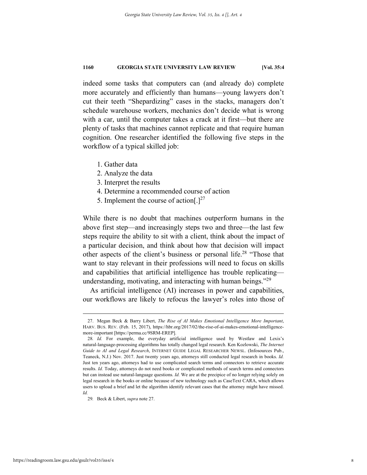indeed some tasks that computers can (and already do) complete more accurately and efficiently than humans—young lawyers don't cut their teeth "Shepardizing" cases in the stacks, managers don't schedule warehouse workers, mechanics don't decide what is wrong with a car, until the computer takes a crack at it first—but there are plenty of tasks that machines cannot replicate and that require human cognition. One researcher identified the following five steps in the workflow of a typical skilled job:

- 1. Gather data
- 2. Analyze the data
- 3. Interpret the results
- 4. Determine a recommended course of action
- 5. Implement the course of action[.] $^{27}$

While there is no doubt that machines outperform humans in the above first step—and increasingly steps two and three—the last few steps require the ability to sit with a client, think about the impact of a particular decision, and think about how that decision will impact other aspects of the client's business or personal life.<sup>28</sup> "Those that want to stay relevant in their professions will need to focus on skills and capabilities that artificial intelligence has trouble replicating understanding, motivating, and interacting with human beings."<sup>29</sup>

As artificial intelligence (AI) increases in power and capabilities, our workflows are likely to refocus the lawyer's roles into those of

 <sup>27.</sup> Megan Beck & Barry Libert, *The Rise of AI Makes Emotional Intelligence More Important*, HARV. BUS. REV. (Feb. 15, 2017), https://hbr.org/2017/02/the-rise-of-ai-makes-emotional-intelligencemore-important [https://perma.cc/9SRM-EREP].

<sup>28</sup>*. Id.* For example, the everyday artificial intelligence used by Westlaw and Lexis's natural-language-processing algorithms has totally changed legal research. Ken Kozlowski, *The Internet Guide to AI and Legal Research*, INTERNET GUIDE LEGAL RESEARCHER NEWSL. (Infosources Pub., Teaneck, N.J.) Nov. 2017. Just twenty years ago, attorneys still conducted legal research in books. *Id.* Just ten years ago, attorneys had to use complicated search terms and connectors to retrieve accurate results. *Id.* Today, attorneys do not need books or complicated methods of search terms and connectors but can instead use natural-language questions. *Id.* We are at the precipice of no longer relying solely on legal research in the books or online because of new technology such as CaseText CARA, which allows users to upload a brief and let the algorithm identify relevant cases that the attorney might have missed. *Id.* 

<sup>29</sup>*.* Beck & Libert, *supra* note 27.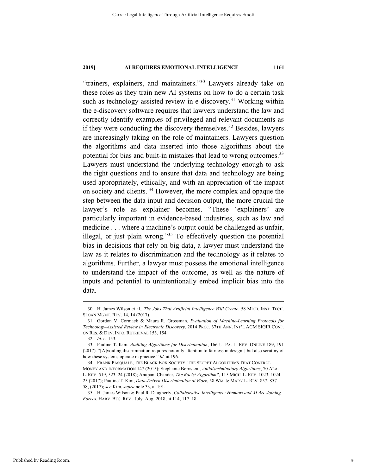"trainers, explainers, and maintainers."30 Lawyers already take on these roles as they train new AI systems on how to do a certain task such as technology-assisted review in e-discovery.<sup>31</sup> Working within the e-discovery software requires that lawyers understand the law and correctly identify examples of privileged and relevant documents as if they were conducting the discovery themselves.32 Besides, lawyers are increasingly taking on the role of maintainers. Lawyers question the algorithms and data inserted into those algorithms about the potential for bias and built-in mistakes that lead to wrong outcomes.<sup>33</sup> Lawyers must understand the underlying technology enough to ask the right questions and to ensure that data and technology are being used appropriately, ethically, and with an appreciation of the impact on society and clients. 34 However, the more complex and opaque the step between the data input and decision output, the more crucial the lawyer's role as explainer becomes. "These 'explainers' are particularly important in evidence-based industries, such as law and medicine . . . where a machine's output could be challenged as unfair, illegal, or just plain wrong."<sup>35</sup> To effectively question the potential bias in decisions that rely on big data, a lawyer must understand the law as it relates to discrimination and the technology as it relates to algorithms. Further, a lawyer must possess the emotional intelligence to understand the impact of the outcome, as well as the nature of inputs and potential to unintentionally embed implicit bias into the data.

 <sup>30.</sup> H. James Wilson et al., *The Jobs That Artificial Intelligence Will Create*, 58 MICH. INST. TECH. SLOAN MGMT. REV. 14, 14 (2017).

 <sup>31.</sup> Gordon V. Cormack & Maura R. Grossman, *Evaluation of Machine-Learning Protocols for Technology-Assisted Review in Electronic Discovery*, 2014 PROC. 37TH ANN. INT'L ACM SIGIR CONF. ON RES. & DEV. INFO. RETRIEVAL 153, 154.

 <sup>32.</sup> *Id.* at 153.

 <sup>33.</sup> Pauline T. Kim, *Auditing Algorithms for Discrimination*, 166 U. PA. L. REV. ONLINE 189, 191 (2017). "[A]voiding discrimination requires not only attention to fairness in design[] but also scrutiny of how these systems operate in practice." *Id.* at 196.

<sup>34</sup>*.* FRANK PASQUALE, THE BLACK BOX SOCIETY: THE SECRET ALGORITHMS THAT CONTROL MONEY AND INFORMATION 147 (2015); Stephanie Bornstein, *Antidiscriminatory Algorithms*, 70 ALA. L. REV. 519, 523–24 (2018); Anupam Chander, *The Racist Algorithm?*, 115 MICH. L. REV. 1023, 1024– 25 (2017); Pauline T. Kim, *Data-Driven Discrimination at Work*, 58 WM. & MARY L. REV. 857, 857– 58, (2017); *see* Kim, *supra* note 33, at 191.

 <sup>35.</sup> H. James Wilson & Paul R. Daugherty, *Collaborative Intelligence: Humans and AI Are Joining Forces*, HARV. BUS. REV., July–Aug. 2018, at 114, 117–18**.**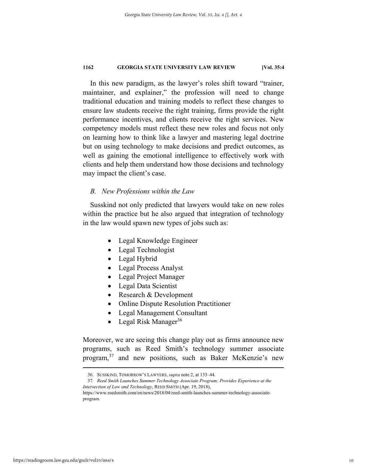In this new paradigm, as the lawyer's roles shift toward "trainer, maintainer, and explainer," the profession will need to change traditional education and training models to reflect these changes to ensure law students receive the right training, firms provide the right performance incentives, and clients receive the right services. New competency models must reflect these new roles and focus not only on learning how to think like a lawyer and mastering legal doctrine but on using technology to make decisions and predict outcomes, as well as gaining the emotional intelligence to effectively work with clients and help them understand how those decisions and technology may impact the client's case.

# *B. New Professions within the Law*

Susskind not only predicted that lawyers would take on new roles within the practice but he also argued that integration of technology in the law would spawn new types of jobs such as:

- Legal Knowledge Engineer
- Legal Technologist
- Legal Hybrid
- Legal Process Analyst
- Legal Project Manager
- Legal Data Scientist
- Research & Development
- Online Dispute Resolution Practitioner
- Legal Management Consultant
- Legal Risk Manager<sup>36</sup>

Moreover, we are seeing this change play out as firms announce new programs, such as Reed Smith's technology summer associate program,<sup>37</sup> and new positions, such as Baker McKenzie's new

 <sup>36.</sup> SUSSKIND, TOMORROW'S LAWYERS, *supra* note 2, at 133–44.

<sup>37</sup>*. Reed Smith Launches Summer Technology Associate Program; Provides Experience at the Intersection of Law and Technology*, REED SMITH (Apr. 19, 2018),

https://www.reedsmith.com/en/news/2018/04/reed-smith-launches-summer-technology-associateprogram.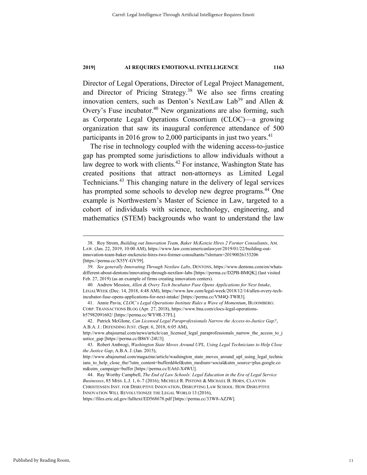Director of Legal Operations, Director of Legal Project Management, and Director of Pricing Strategy.<sup>38</sup> We also see firms creating innovation centers, such as Denton's NextLaw Lab<sup>39</sup> and Allen & Overy's Fuse incubator.<sup>40</sup> New organizations are also forming, such as Corporate Legal Operations Consortium (CLOC)—a growing organization that saw its inaugural conference attendance of 500 participants in 2016 grow to 2,000 participants in just two years.<sup>41</sup>

The rise in technology coupled with the widening access-to-justice gap has prompted some jurisdictions to allow individuals without a law degree to work with clients.<sup>42</sup> For instance, Washington State has created positions that attract non-attorneys as Limited Legal Technicians.43 This changing nature in the delivery of legal services has prompted some schools to develop new degree programs.<sup>44</sup> One example is Northwestern's Master of Science in Law, targeted to a cohort of individuals with science, technology, engineering, and mathematics (STEM) backgrounds who want to understand the law

 <sup>38.</sup> Roy Strom, *Building out Innovation Team, Baker McKenzie Hires 2 Former Consultants*, AM. LAW. (Jan. 22, 2019, 10:00 AM), https://www.law.com/americanlawyer/2019/01/22/building-outinnovation-team-baker-mckenzie-hires-two-former-consultants/?slreturn=20190026153206 [https://perma.cc/X55Y-GV59].

 <sup>39.</sup> *See generally Innovating Through Nextlaw Labs*, DENTONS, https://www.dentons.com/en/whatsdifferent-about-dentons/innovating-through-nextlaw-labs [https://perma.cc/D2PB-BMQK] (last visited Feb. 27, 2019) (as an example of firms creating innovation centers).

<sup>40</sup>*.* Andrew Messios, *Allen & Overy Tech Incubator Fuse Opens Applications for Next Intake*, LEGALWEEK (Dec. 14, 2018, 4:48 AM), https://www.law.com/legal-week/2018/12/14/allen-overy-techincubator-fuse-opens-applications-for-next-intake/ [https://perma.cc/VM4Q-TWR3].

 <sup>41.</sup> Annie Pavia, *CLOC's Legal Operations Institute Rides a Wave of Momentum*, BLOOMBERG: CORP. TRANSACTIONS BLOG (Apr. 27, 2018), https://www.bna.com/clocs-legal-operationsb57982091602/ [https://perma.cc/WY9R-37FL].

 <sup>42.</sup> Patrick McGlone, *Can Licensed Legal Paraprofessionals Narrow the Access-to-Justice Gap?*, A.B.A. J.: DEFENDING JUST. (Sept. 6, 2018, 6:05 AM),

http://www.abajournal.com/news/article/can\_licensed\_legal\_paraprofessionals\_narrow\_the\_access\_to\_j ustice\_gap [https://perma.cc/B86Y-24U3].

 <sup>43.</sup> Robert Ambrogi, *Washington State Moves Around UPL, Using Legal Technicians to Help Close the Justice Gap*, A.B.A. J. (Jan. 2015),

http://www.abajournal.com/magazine/article/washington\_state\_moves\_around\_upl\_using\_legal\_technic ians\_to\_help\_close\_the/?utm\_content=bufferdd4ef&utm\_medium=social&utm\_source=plus.google.co m&utm\_campaign=buffer [https://perma.cc/EA6J-X4WU].

 <sup>44.</sup> Ray Worthy Campbell, *The End of Law Schools: Legal Education in the Era of Legal Service Businesses*, 85 MISS. L.J. 1, 6–7 (2016); MICHELE R. PISTONE & MICHAEL B. HORN, CLAYTON CHRISTENSEN INST. FOR DISRUPTIVE INNOVATION, DISRUPTING LAW SCHOOL: HOW DISRUPTIVE INNOVATION WILL REVOLUTIONIZE THE LEGAL WORLD 13 (2016), https://files.eric.ed.gov/fulltext/ED568678.pdf [https://perma.cc/33W8-AZJW].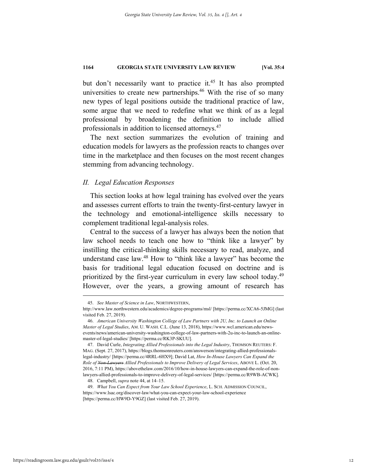but don't necessarily want to practice it.<sup>45</sup> It has also prompted universities to create new partnerships.<sup>46</sup> With the rise of so many new types of legal positions outside the traditional practice of law, some argue that we need to redefine what we think of as a legal professional by broadening the definition to include allied professionals in addition to licensed attorneys.<sup>47</sup>

The next section summarizes the evolution of training and education models for lawyers as the profession reacts to changes over time in the marketplace and then focuses on the most recent changes stemming from advancing technology.

# *II. Legal Education Responses*

This section looks at how legal training has evolved over the years and assesses current efforts to train the twenty-first-century lawyer in the technology and emotional-intelligence skills necessary to complement traditional legal-analysis roles.

Central to the success of a lawyer has always been the notion that law school needs to teach one how to "think like a lawyer" by instilling the critical-thinking skills necessary to read, analyze, and understand case law.<sup>48</sup> How to "think like a lawyer" has become the basis for traditional legal education focused on doctrine and is prioritized by the first-year curriculum in every law school today.<sup>49</sup> However, over the years, a growing amount of research has

 <sup>45.</sup> *See Master of Science in Law*, NORTHWESTERN,

http://www.law.northwestern.edu/academics/degree-programs/msl/ [https://perma.cc/XCA6-5JMG] (last visited Feb. 27, 2019).

 <sup>46.</sup> *American University Washington College of Law Partners with 2U, Inc. to Launch an Online Master of Legal Studies*, AM. U. WASH. C.L. (June 13, 2018), https://www.wcl.american.edu/newsevents/news/american-university-washington-college-of-law-partners-with-2u-inc-to-launch-an-onlinemaster-of-legal-studies/ [https://perma.cc/RK3P-SKUU].

 <sup>47.</sup> David Curle, *Integrating Allied Professionals into the Legal Industry*, THOMSON REUTERS: F. MAG. (Sept. 27, 2017), https://blogs.thomsonreuters.com/answerson/integrating-allied-professionalslegal-industry/ [https://perma.cc/4RRL-6HX9]; David Lat, *How In-House Lawyers Can Expand the Role of Non-Lawyers Allied Professionals to Improve Delivery of Legal Services*, ABOVE L. (Oct. 20, 2016, 7:11 PM), https://abovethelaw.com/2016/10/how-in-house-lawyers-can-expand-the-role-of-nonlawyers-allied-professionals-to-improve-delivery-of-legal-services/ [https://perma.cc/R9WB-ACWK].

 <sup>48.</sup> Campbell, *supra* note 44, at 14–15.

 <sup>49.</sup> *What You Can Expect from Your Law School Experience*, L. SCH. ADMISSION COUNCIL, https://www.lsac.org/discover-law/what-you-can-expect-your-law-school-experience [https://perma.cc/HW9D-Y9GZ] (last visited Feb. 27, 2019).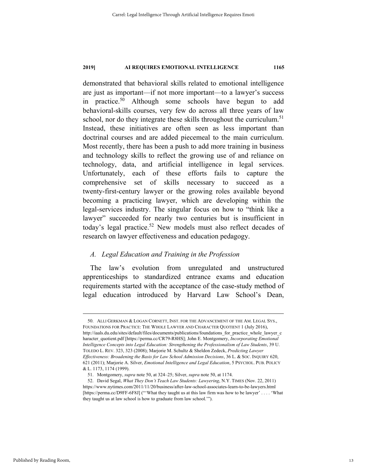demonstrated that behavioral skills related to emotional intelligence are just as important—if not more important—to a lawyer's success in practice.<sup>50</sup> Although some schools have begun to add behavioral-skills courses, very few do across all three years of law school, nor do they integrate these skills throughout the curriculum.<sup>51</sup> Instead, these initiatives are often seen as less important than doctrinal courses and are added piecemeal to the main curriculum. Most recently, there has been a push to add more training in business and technology skills to reflect the growing use of and reliance on technology, data, and artificial intelligence in legal services. Unfortunately, each of these efforts fails to capture the comprehensive set of skills necessary to succeed as a twenty-first-century lawyer or the growing roles available beyond becoming a practicing lawyer, which are developing within the legal-services industry. The singular focus on how to "think like a lawyer" succeeded for nearly two centuries but is insufficient in today's legal practice.<sup>52</sup> New models must also reflect decades of research on lawyer effectiveness and education pedagogy.

# *A. Legal Education and Training in the Profession*

The law's evolution from unregulated and unstructured apprenticeships to standardized entrance exams and education requirements started with the acceptance of the case-study method of legal education introduced by Harvard Law School's Dean,

 <sup>50.</sup> ALLI GERKMAN & LOGAN CORNETT, INST. FOR THE ADVANCEMENT OF THE AM. LEGAL SYS., FOUNDATIONS FOR PRACTICE: THE WHOLE LAWYER AND CHARACTER QUOTIENT 1 (July 2016), http://iaals.du.edu/sites/default/files/documents/publications/foundations\_for\_practice\_whole\_lawyer\_c haracter\_quotient.pdf [https://perma.cc/CR79-R8HS]; John E. Montgomery, *Incorporating Emotional Intelligence Concepts into Legal Education: Strengthening the Professionalism of Law Students*, 39 U. TOLEDO L. REV. 323, 323 (2008); Marjorie M. Schultz & Sheldon Zedeck, *Predicting Lawyer Effectiveness: Broadening the Basis for Law School Admission Decisions*, 36 L. & SOC. INQUIRY 620, 621 (2011); Marjorie A. Silver, *Emotional Intelligence and Legal Education*, 5 PSYCHOL. PUB. POLICY & L. 1173, 1174 (1999).

 <sup>51.</sup> Montgomery, *supra* note 50, at 324–25; Silver, *supra* note 50, at 1174.

 <sup>52.</sup> David Segal, *What They Don't Teach Law Students: Lawyering*, N.Y. TIMES (Nov. 22, 2011) https://www.nytimes.com/2011/11/20/business/after-law-school-associates-learn-to-be-lawyers.html [https://perma.cc/D9FF-6F8J] ("'What they taught us at this law firm was how to be lawyer' . . . . 'What they taught us at law school is how to graduate from law school.'").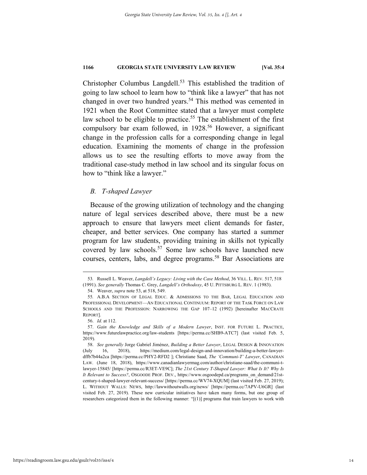Christopher Columbus Langdell.<sup>53</sup> This established the tradition of going to law school to learn how to "think like a lawyer" that has not changed in over two hundred years.<sup>54</sup> This method was cemented in 1921 when the Root Committee stated that a lawyer must complete law school to be eligible to practice.<sup>55</sup> The establishment of the first compulsory bar exam followed, in 1928.<sup>56</sup> However, a significant change in the profession calls for a corresponding change in legal education. Examining the moments of change in the profession allows us to see the resulting efforts to move away from the traditional case-study method in law school and its singular focus on how to "think like a lawyer."

# *B. T-shaped Lawyer*

Because of the growing utilization of technology and the changing nature of legal services described above, there must be a new approach to ensure that lawyers meet client demands for faster, cheaper, and better services. One company has started a summer program for law students, providing training in skills not typically covered by law schools.<sup>57</sup> Some law schools have launched new courses, centers, labs, and degree programs.<sup>58</sup> Bar Associations are

 <sup>53</sup>*.* Russell L. Weaver, *Langdell's Legacy: Living with the Case Method*, 36 VILL. L. REV. 517, 518 (1991). *See generally* Thomas C. Grey, *Langdell's Orthodoxy*, 45 U. PITTSBURG L. REV. 1 (1983).

 <sup>54.</sup> Weaver, *supra* note 53, at 518, 549.

<sup>55</sup>*.* A.B.A SECTION OF LEGAL EDUC. & ADMISSIONS TO THE BAR, LEGAL EDUCATION AND PROFESSIONAL DEVELOPMENT—AN EDUCATIONAL CONTINUUM: REPORT OF THE TASK FORCE ON LAW SCHOOLS AND THE PROFESSION: NARROWING THE GAP 107–12 (1992) [hereinafter MACCRATE REPORT].

 <sup>56.</sup> *Id.* at 112.

 <sup>57.</sup> *Gain the Knowledge and Skills of a Modern Lawyer*, INST. FOR FUTURE L. PRACTICE, https://www.futurelawpractice.org/law-students [https://perma.cc/SHB9-ATC7] (last visited Feb. 5, 2019).

 <sup>58.</sup> *See generally* Jorge Gabriel Jiménez, *Building a Better Lawyer*, LEGAL DESIGN & INNOVATION (July 16, 2018), https://medium.com/legal-design-and-innovation/building-a-better-lawyerdffb7b44a2ca [https://perma.cc/PHY2-RFD2 ]; Christiane Saad, *The 'Communi-T' Lawyer*, CANADIAN LAW. (June 18, 2018), https://www.canadianlawyermag.com/author/christiane-saad/the-communi-tlawyer-15845/ [https://perma.cc/R3ET-VE9C]; *The 21st Century T-Shaped Lawyer: What Is It? Why Is It Relevant to Success?*, OSGOODE PROF. DEV., https://www.osgoodepd.ca/programs\_on\_demand/21stcentury-t-shaped-lawyer-relevant-success/ [https://perma.cc/WV74-XQUM] (last visited Feb. 27, 2019); L. WITHOUT WALLS: NEWS, http://lawwithoutwalls.org/news/ [https://perma.cc/7APV-U6GR] (last visited Feb. 27, 2019). These new curricular initiatives have taken many forms, but one group of researchers categorized them in the following manner: "[(1)] programs that train lawyers to work with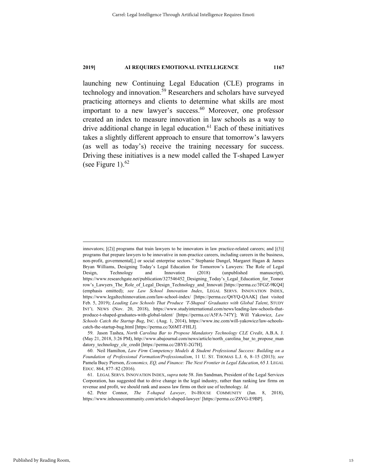launching new Continuing Legal Education (CLE) programs in technology and innovation.<sup>59</sup> Researchers and scholars have surveyed practicing attorneys and clients to determine what skills are most important to a new lawyer's success. $60$  Moreover, one professor created an index to measure innovation in law schools as a way to drive additional change in legal education.<sup>61</sup> Each of these initiatives takes a slightly different approach to ensure that tomorrow's lawyers (as well as today's) receive the training necessary for success. Driving these initiatives is a new model called the T-shaped Lawyer (see Figure 1). $62$ 

innovators;  $[(2)]$  programs that train lawyers to be innovators in law practice-related careers; and  $[(3)]$ programs that prepare lawyers to be innovative in non-practice careers, including careers in the business, non-profit, governmental[,] or social enterprise sectors." Stephanie Dangel, Margaret Hagan & James Bryan Williams, Designing Today's Legal Education for Tomorrow's Lawyers: The Role of Legal Design, Technology and Innovation (2018) (unpublished manuscript), https://www.researchgate.net/publication/327546452 Designing Today's Legal Education for Tomor row's Lawyers The Role of Legal Design Technology and Innovati [https://perma.cc/3FGZ-9KQ4] (emphasis omitted); *see Law School Innovation Index*, LEGAL SERVS. INNOVATION INDEX, https://www.legaltechinnovation.com/law-school-index/ [https://perma.cc/Q6YQ-QAAK] (last visited Feb. 5, 2019); *Leading Law Schools That Produce 'T-Shaped' Graduates with Global Talent*, STUDY INT'L NEWS (Nov. 20, 2018), https://www.studyinternational.com/news/leading-law-schools-thatproduce-t-shaped-graduates-with-global-talent/ [https://perma.cc/A5FA-747Y]; Will Yakowicz, *Law Schools Catch the Startup Bug*, INC. (Aug. 1, 2014), https://www.inc.com/will-yakowicz/law-schoolscatch-the-startup-bug.html [https://perma.cc/X6MT-FHLJ].

 <sup>59.</sup> Jason Tashea, *North Carolina Bar to Propose Mandatory Technology CLE Credit*, A.B.A. J. (May 21, 2018, 3:26 PM), http://www.abajournal.com/news/article/north\_carolina\_bar\_to\_propose\_man datory\_technology\_cle\_credit [https://perma.cc/2BYE-2G7H].

 <sup>60.</sup> Neil Hamilton, *Law Firm Competency Models & Student Professional Success: Building on a Foundation of Professional Formation/Professionalism*, 11 U. ST. THOMAS L.J. 6, 8–15 (2013); *see*  Pamela Bucy Pierson, *Economics, EQ, and Finance: The Next Frontier in Legal Education*, 65 J. LEGAL EDUC. 864, 877–82 (2016).

 <sup>61.</sup> LEGAL SERVS. INNOVATION INDEX, *supra* note 58. Jim Sandman, President of the Legal Services Corporation, has suggested that to drive change in the legal industry, rather than ranking law firms on revenue and profit, we should rank and assess law firms on their use of technology. *Id.*

 <sup>62.</sup> Peter Connor, *The T-shaped Lawyer*, IN-HOUSE COMMUNITY (Jan. 8, 2018), https://www.inhousecommunity.com/article/t-shaped-lawyer/ [https://perma.cc/Z8VG-E9BP].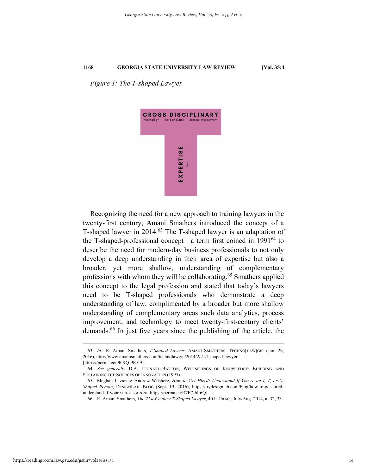*Figure 1: The T-shaped Lawyer* 



Recognizing the need for a new approach to training lawyers in the twenty-first century, Amani Smathers introduced the concept of a T-shaped lawyer in 2014.<sup>63</sup> The T-shaped lawyer is an adaptation of the T-shaped-professional concept—a term first coined in  $1991^{64}$  to describe the need for modern-day business professionals to not only develop a deep understanding in their area of expertise but also a broader, yet more shallow, understanding of complementary professions with whom they will be collaborating.<sup>65</sup> Smathers applied this concept to the legal profession and stated that today's lawyers need to be T-shaped professionals who demonstrate a deep understanding of law, complimented by a broader but more shallow understanding of complementary areas such data analytics, process improvement, and technology to meet twenty-first-century clients' demands.66 In just five years since the publishing of the article, the

 <sup>63.</sup> *Id.*; R. Amani Smathers, *T-Shaped Lawyer*, AMANI SMATHERS: TECHNO[LAW]GIC (Jan. 29, 2016), http://www.amanismathers.com/technolawgic/2014/2/21/t-shaped-lawyer

<sup>[</sup>https://perma.cc/9RXQ-9RY9].

 <sup>64.</sup> *See generally* D.A. LEONARD-BARTON, WELLSPRINGS OF KNOWLEDGE: BUILDING AND SUSTAINING THE SOURCES OF INNOVATION (1995).

 <sup>65.</sup> Meghan Lazier & Andrew Wilshere, *How to Get Hired: Understand If You're an I, T, or X-Shaped Person*, DESIGNLAB: BLOG (Sept. 19, 2016), https://trydesignlab.com/blog/how-to-get-hiredunderstand-if-youre-an-i-t-or-x-s/ [https://perma.cc/R7E7-6L6Q].

 <sup>66.</sup> R. Amani Smathers, *The 21st-Century T-Shaped Lawyer*, 40 L. PRAC., July/Aug. 2014, at 32, 33.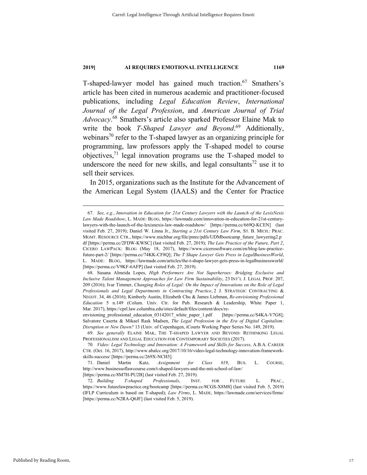T-shaped-lawyer model has gained much traction.<sup>67</sup> Smathers's article has been cited in numerous academic and practitioner-focused publications, including *Legal Education Review*, *International Journal of the Legal Profession*, and *American Journal of Trial Advocacy*. 68 Smathers's article also sparked Professor Elaine Mak to write the book *T-Shaped Lawyer and Beyond*. 69 Additionally, webinars<sup>70</sup> refer to the T-shaped lawyer as an organizing principle for programming, law professors apply the T-shaped model to course objectives, $71$  legal innovation programs use the T-shaped model to underscore the need for new skills, and legal consultants<sup>72</sup> use it to sell their services.

In 2015, organizations such as the Institute for the Advancement of the American Legal System (IAALS) and the Center for Practice

 <sup>67.</sup> *See, e.g.*, *Innovation in Education for 21st Century Lawyers with the Launch of the LexisNexis Law Made Roadshow*, L. MADE: BLOG, https://lawmade.com/innovation-in-education-for-21st-centurylawyers-with-the-launch-of-the-lexisnexis-law-made-roadshow/ [https://perma.cc/669Q-KCEN] (last visited Feb. 27, 2019); Daniel W. Linna Jr., *Starting a 21st Century Law Firm*, ST. B. MICH.: PRAC. MGMT. RESOURCE CTR., https://www.michbar.org/file/pmrc/pdfs/UDMbootcamp\_future\_lawyering2.p df [https://perma.cc/2FDW-KWSC] (last visited Feb. 27, 2019); *The Law Practice of the Future, Part 2*, CICERO LAWPACK: BLOG (May 18, 2017), https://www.cicerosoftware.com/en/blog-law-practicefuture-part-2/ [https://perma.cc/74KK-CF8Q]; *The T Shape Lawyer Gets Press in LegalBusinessWorld*, L. MADE: BLOG, https://lawmade.com/articles/the-t-shape-lawyer-gets-press-in-legalbusinessworld/ [https://perma.cc/V9KF-6AFP] (last visited Feb. 27, 2019).

 <sup>68.</sup> Susana Almeida Lopes, *High Performers Are Not Superheroes: Bridging Exclusive and Inclusive Talent Management Approaches for Law Firm Sustainability*, 23 INT'L J. LEGAL PROF. 207, 209 (2016); Ivar Timmer, *Changing Roles of Legal: On the Impact of Innovations on the Role of Legal Professionals and Legal Departments in Contracting Practice*, 2 J. STRATEGIC CONTRACTING & NEGOT. 34, 46 (2016); Kimberly Austin, Elizabeth Chu & James Liebman, *Re-envisioning Professional Education* 5 n.149 (Colum. Univ. Ctr. for Pub. Research & Leadership, White Paper 1, Mar. 2017), https://cprl.law.columbia.edu/sites/default/files/content/docs/re-

envisioning professional education 03142017 white paper 1.pdf [https://perma.cc/S4KA-V7G8]; Salvatore Caserta & Mikael Rask Madsen, *The Legal Profession in the Era of Digital Capitalism: Disruption or New Dawn?* 13 (Univ. of Copenhagen, iCourts Working Paper Series No. 149, 2019).

 <sup>69.</sup> *See generally* ELAINE MAK, THE T-SHAPED LAWYER AND BEYOND: RETHINKING LEGAL PROFESSIONALISM AND LEGAL EDUCATION FOR CONTEMPORARY SOCIETIES (2017).

<sup>70</sup>*. Video: Legal Technology and Innovation: A Framework and Skills for Success*, A.B.A. CAREER CTR. (Oct. 16, 2017), http://www.abalcc.org/2017/10/16/video-legal-technology-innovation-frameworkskills-success/ [https://perma.cc/269X-NCH5].

 <sup>71.</sup> Daniel Martin Katz, *Assignment for Class #19*, BUS. L. COURSE, http://www.businessoflawcourse.com/t-shaped-lawyers-and-the-mit-school-of-law/ [https://perma.cc/8M7H-PU2B] (last visited Feb. 27, 2019).

 <sup>72.</sup> *Building T-shaped Professionals*, INST. FOR FUTURE L. PRAC.,

https://www.futurelawpractice.org/bootcamp [https://perma.cc/8CGS-X8M8] (last visited Feb. 5, 2019) (IFLP Curriculum is based on T-shaped); *Law Firms*, L. MADE, https://lawmade.com/services/firms/ [https://perma.cc/N2RA-Q6JF] (last visited Feb. 5, 2019).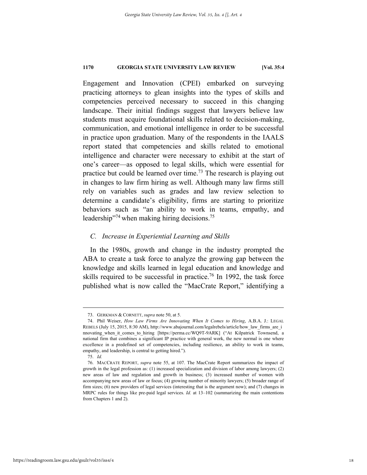Engagement and Innovation (CPEI) embarked on surveying practicing attorneys to glean insights into the types of skills and competencies perceived necessary to succeed in this changing landscape. Their initial findings suggest that lawyers believe law students must acquire foundational skills related to decision-making, communication, and emotional intelligence in order to be successful in practice upon graduation. Many of the respondents in the IAALS report stated that competencies and skills related to emotional intelligence and character were necessary to exhibit at the start of one's career—as opposed to legal skills, which were essential for practice but could be learned over time.<sup>73</sup> The research is playing out in changes to law firm hiring as well. Although many law firms still rely on variables such as grades and law review selection to determine a candidate's eligibility, firms are starting to prioritize behaviors such as "an ability to work in teams, empathy, and leadership"<sup>74</sup> when making hiring decisions.<sup>75</sup>

# *C. Increase in Experiential Learning and Skills*

In the 1980s, growth and change in the industry prompted the ABA to create a task force to analyze the growing gap between the knowledge and skills learned in legal education and knowledge and skills required to be successful in practice.<sup>76</sup> In 1992, the task force published what is now called the "MacCrate Report," identifying a

 <sup>73.</sup> GERKMAN & CORNETT, *supra* note 50, at 5.

 <sup>74.</sup> Phil Weiser, *How Law Firms Are Innovating When It Comes to Hiring*, A.B.A. J.: LEGAL REBELS (July 15, 2015, 8:30 AM), http://www.abajournal.com/legalrebels/article/how\_law\_firms\_are\_i nnovating\_when\_it\_comes\_to\_hiring [https://perma.cc/WQ9T-9ARK] ("At Kilpatrick Townsend, a national firm that combines a significant IP practice with general work, the new normal is one where excellence in a predefined set of competencies, including resilience, an ability to work in teams, empathy, and leadership, is central to getting hired.").

 <sup>75.</sup> *Id.* 

 <sup>76.</sup> MACCRATE REPORT, *supra* note 55, at 107. The MacCrate Report summarizes the impact of growth in the legal profession as: (1) increased specialization and division of labor among lawyers; (2) new areas of law and regulation and growth in business; (3) increased number of women with accompanying new areas of law or focus; (4) growing number of minority lawyers; (5) broader range of firm sizes; (6) new providers of legal services (interesting that is the argument now); and (7) changes in MRPC rules for things like pre-paid legal services. *Id.* at 13–102 (summarizing the main contentions from Chapters 1 and 2).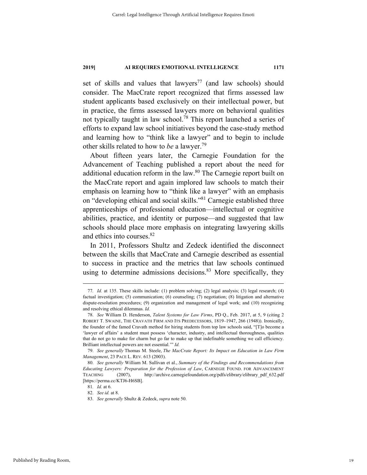set of skills and values that lawyers<sup>77</sup> (and law schools) should consider. The MacCrate report recognized that firms assessed law student applicants based exclusively on their intellectual power, but in practice, the firms assessed lawyers more on behavioral qualities not typically taught in law school.78 This report launched a series of efforts to expand law school initiatives beyond the case-study method and learning how to "think like a lawyer" and to begin to include other skills related to how to *be* a lawyer.79

About fifteen years later, the Carnegie Foundation for the Advancement of Teaching published a report about the need for additional education reform in the law.<sup>80</sup> The Carnegie report built on the MacCrate report and again implored law schools to match their emphasis on learning how to "think like a lawyer" with an emphasis on "developing ethical and social skills."81 Carnegie established three apprenticeships of professional education—intellectual or cognitive abilities, practice, and identity or purpose—and suggested that law schools should place more emphasis on integrating lawyering skills and ethics into courses.82

In 2011, Professors Shultz and Zedeck identified the disconnect between the skills that MacCrate and Carnegie described as essential to success in practice and the metrics that law schools continued using to determine admissions decisions.<sup>83</sup> More specifically, they

 <sup>77</sup>*. Id.* at 135. These skills include: (1) problem solving; (2) legal analysis; (3) legal research; (4) factual investigation; (5) communication; (6) counseling; (7) negotiation; (8) litigation and alternative dispute-resolution procedures; (9) organization and management of legal work; and (10) recognizing and resolving ethical dilemmas. *Id.*

 <sup>78.</sup> *See* William D. Henderson, *Talent Systems for Law Firms*, PD Q., Feb. 2017, at 5, 9 (citing 2 ROBERT T. SWAINE, THE CRAVATH FIRM AND ITS PREDECESSORS, 1819–1947, 266 (1948)). Ironically, the founder of the famed Cravath method for hiring students from top law schools said, "[T]o become a 'lawyer of affairs' a student must possess 'character, industry, and intellectual thoroughness, qualities that do not go to make for charm but go far to make up that indefinable something we call efficiency. Brilliant intellectual powers are not essential.'" *Id.*

 <sup>79.</sup> *See generally* Thomas M. Steele, *The MacCrate Report: Its Impact on Education in Law Firm Management*, 23 PACE L. REV. 613 (2003).

 <sup>80.</sup> *See generally* William M. Sullivan et al., *Summary of the Findings and Recommendations from Educating Lawyers: Preparation for the Profession of Law*, CARNEGIE FOUND. FOR ADVANCEMENT TEACHING (2007), http://archive.carnegiefoundation.org/pdfs/elibrary/elibrary\_pdf\_632.pdf [https://perma.cc/KTJ6-H6SB].

<sup>81</sup>*. Id.* at 6.

 <sup>82.</sup> *See id.* at 8.

 <sup>83.</sup> *See generally* Shultz & Zedeck, *supra* note 50.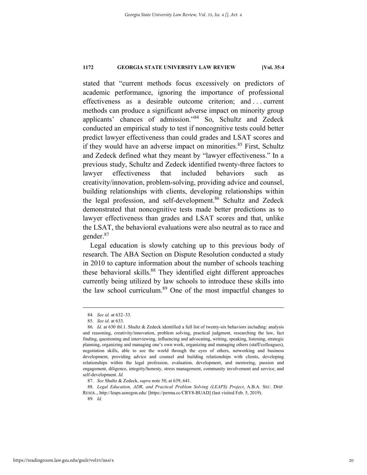stated that "current methods focus excessively on predictors of academic performance, ignoring the importance of professional effectiveness as a desirable outcome criterion; and . . . current methods can produce a significant adverse impact on minority group applicants' chances of admission."84 So, Schultz and Zedeck conducted an empirical study to test if noncognitive tests could better predict lawyer effectiveness than could grades and LSAT scores and if they would have an adverse impact on minorities. $85$  First, Schultz and Zedeck defined what they meant by "lawyer effectiveness." In a previous study, Schultz and Zedeck identified twenty-three factors to lawyer effectiveness that included behaviors such as creativity/innovation, problem-solving, providing advice and counsel, building relationships with clients, developing relationships within the legal profession, and self-development.<sup>86</sup> Schultz and Zedeck demonstrated that noncognitive tests made better predictions as to lawyer effectiveness than grades and LSAT scores and that, unlike the LSAT, the behavioral evaluations were also neutral as to race and gender.87

Legal education is slowly catching up to this previous body of research. The ABA Section on Dispute Resolution conducted a study in 2010 to capture information about the number of schools teaching these behavioral skills.<sup>88</sup> They identified eight different approaches currently being utilized by law schools to introduce these skills into the law school curriculum.<sup>89</sup> One of the most impactful changes to

 <sup>84</sup>*. See id.* at 632–33.

 <sup>85.</sup> *See id.* at 633.

<sup>86</sup>*. Id.* at 630 tbl.1. Shultz & Zedeck identified a full list of twenty-six behaviors including: analysis and reasoning, creativity/innovation, problem solving, practical judgment, researching the law, fact finding, questioning and interviewing, influencing and advocating, writing, speaking, listening, strategic planning, organizing and managing one's own work, organizing and managing others (staff/colleagues), negotiation skills, able to see the world through the eyes of others, networking and business development, providing advice and counsel and building relationships with clients, developing relationships within the legal profession, evaluation, development, and mentoring, passion and engagement, diligence, integrity/honesty, stress management, community involvement and service, and self-development. *Id.*

 <sup>87.</sup> *See* Shultz & Zedeck, *supra* note 50, at 639, 641.

 <sup>88.</sup> *Legal Education, ADR, and Practical Problem Solving (LEAPS) Project*, A.B.A. SEC. DISP. RESOL., http://leaps.uoregon.edu/ [https://perma.cc/CRY8-BUAD] (last visited Feb. 5, 2019). 89*. Id.*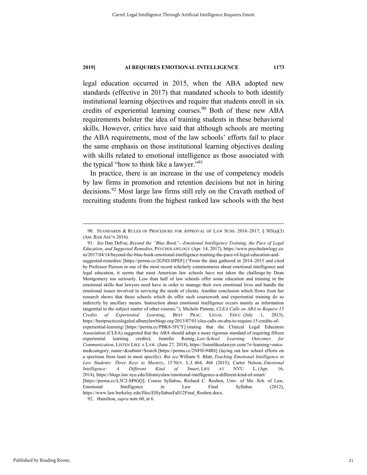legal education occurred in 2015, when the ABA adopted new standards (effective in 2017) that mandated schools to both identify institutional learning objectives and require that students enroll in six credits of experiential learning courses.<sup>90</sup> Both of these new ABA requirements bolster the idea of training students in these behavioral skills. However, critics have said that although schools are meeting the ABA requirements, most of the law schools' efforts fail to place the same emphasis on those institutional learning objectives dealing with skills related to emotional intelligence as those associated with the typical "how to think like a lawyer."<sup>91</sup>

In practice, there is an increase in the use of competency models by law firms in promotion and retention decisions but not in hiring decisions.<sup>92</sup> Most large law firms still rely on the Cravath method of recruiting students from the highest ranked law schools with the best

 <sup>90.</sup> STANDARDS & RULES OF PROCEDURE FOR APPROVAL OF LAW SCHS. 2016–2017, § 303(a)(3) (AM. BAR ASS'N 2016).

 <sup>91.</sup> *See* Dan DeFoe, *Beyond the "Blue Book"—Emotional Intelligence Training, the Pace of Legal Education, and Suggested Remedies*, PSYCHOLAWLOGY (Apr. 14, 2017), https://www.psycholawlogy.co m/2017/04/14/beyond-the-blue-book-emotional-intelligence-training-the-pace-of-legal-education-andsuggested-remedies/ [https://perma.cc/2GND-HPEF] ("From the data gathered in 2014–2015 and cited by Professor Pierson in one of the most recent scholarly commentaries about emotional intelligence and legal education, it seems that most American law schools have not taken the challenge by Dean Montgomery too seriously. Less than half of law schools offer some education and training in the emotional skills that lawyers need have in order to manage their own emotional lives and handle the emotional issues involved in servicing the needs of clients. Another conclusion which flows from her research shows that those schools which do offer such coursework and experiential training do so indirectly by ancillary means. Instruction about emotional intelligence occurs mainly as information tangential to the subject matter of other courses."); Michele Pistone, *CLEA Calls on ABA to Require 15 Credits of Experiential Learning*, BEST PRAC. LEGAL EDUC. (July 1, 2013), https://bestpracticeslegaled.albanylawblogs.org/2013/07/01/clea-calls-on-aba-to-require-15-credits-ofexperiential-learning/ [https://perma.cc/PBK8-5FCY] (stating that the Clinical Legal Educators Association (CLEA) suggested that the ABA should adopt a more rigorous standard of requiring fifteen experiential learning credits); Jennifer Romig, *Law-School Learning Outcomes for Communication*, LISTEN LIKE A LAW. (June 27, 2018), https://listenlikealawyer.com/?s=learning+outco me&category\_name=&submit=Search [https://perma.cc/2NFH-94R8] (laying out law school efforts on a spectrum from least to most specific). *But see* William S. Blatt, *Teaching Emotional Intelligence to Law Students: Three Keys to Mastery*, 15 NEV. L.J. 464, 466 (2015); Carter Nelson, *Emotional Intelligence: A Different Kind of Smart*, LIFE AT NYU L. (Apr. 16, 2014), https://blogs.law.nyu.edu/lifeatnyulaw/emotional-intelligence-a-different-kind-of-smart/ [https://perma.cc/L5C2-M9GQ]; Course Syllabus, Richard C. Reuben, Univ. of Mo. Sch. of Law, Emotional Intelligence in Law Final Syllabus (2012), https://www.law.berkeley.edu/files/EISyllabusFall12Final\_Reuben.docx. 92. Hamilton, *supra* note 60, at 6.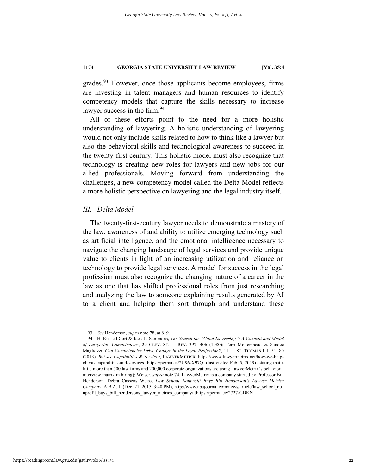grades.93 However, once those applicants become employees, firms are investing in talent managers and human resources to identify competency models that capture the skills necessary to increase lawyer success in the firm.<sup>94</sup>

All of these efforts point to the need for a more holistic understanding of lawyering. A holistic understanding of lawyering would not only include skills related to how to think like a lawyer but also the behavioral skills and technological awareness to succeed in the twenty-first century. This holistic model must also recognize that technology is creating new roles for lawyers and new jobs for our allied professionals. Moving forward from understanding the challenges, a new competency model called the Delta Model reflects a more holistic perspective on lawyering and the legal industry itself.

# *III. Delta Model*

The twenty-first-century lawyer needs to demonstrate a mastery of the law, awareness of and ability to utilize emerging technology such as artificial intelligence, and the emotional intelligence necessary to navigate the changing landscape of legal services and provide unique value to clients in light of an increasing utilization and reliance on technology to provide legal services. A model for success in the legal profession must also recognize the changing nature of a career in the law as one that has shifted professional roles from just researching and analyzing the law to someone explaining results generated by AI to a client and helping them sort through and understand these

 <sup>93.</sup> *See* Henderson, *supra* note 78, at 8–9.

 <sup>94.</sup> H. Russell Cort & Jack L. Sammons, *The Search for "Good Lawyering": A Concept and Model of Lawyering Competencies*, 29 CLEV. ST. L. REV. 397, 406 (1980); Terri Mottershead & Sandee Magliozzi, *Can Competencies Drive Change in the Legal Profession?*, 11 U. ST. THOMAS L.J. 51, 80 (2013). *But see Capabilities & Services*, LAWYERMETRIX, https://www.lawyermetrix.net/how-we-helpclients/capabilities-and-services [https://perma.cc/2U96-X97Q] (last visited Feb. 5, 2019) (stating that a little more than 700 law firms and 200,000 corporate organizations are using LawyerMetrix's behavioral interview matrix in hiring); Weiser, *supra* note 74. LawyerMetrix is a company started by Professor Bill Henderson. Debra Cassens Weiss, *Law School Nonprofit Buys Bill Henderson's Lawyer Metrics Company*, A.B.A. J. (Dec. 21, 2015, 3:40 PM), http://www.abajournal.com/news/article/law\_school\_no nprofit\_buys\_bill\_hendersons\_lawyer\_metrics\_company/ [https://perma.cc/2727-CDKN].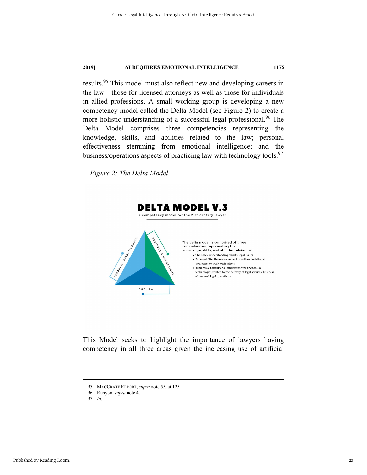results.95 This model must also reflect new and developing careers in the law—those for licensed attorneys as well as those for individuals in allied professions. A small working group is developing a new competency model called the Delta Model (see Figure 2) to create a more holistic understanding of a successful legal professional.<sup>96</sup> The Delta Model comprises three competencies representing the knowledge, skills, and abilities related to the law; personal effectiveness stemming from emotional intelligence; and the business/operations aspects of practicing law with technology tools.<sup>97</sup>

*Figure 2: The Delta Model* 



This Model seeks to highlight the importance of lawyers having competency in all three areas given the increasing use of artificial

 <sup>95</sup>*.* MACCRATE REPORT, *supra* note 55, at 125.

 <sup>96.</sup> Runyon, *supra* note 4.

 <sup>97.</sup> *Id.*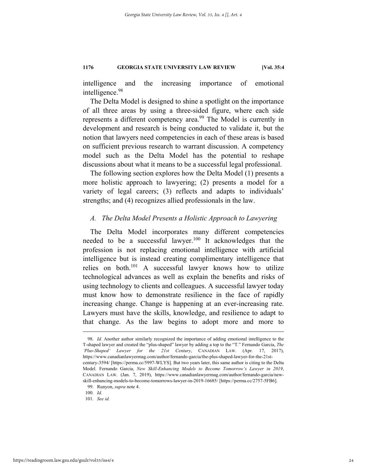intelligence and the increasing importance of emotional intelligence.98

The Delta Model is designed to shine a spotlight on the importance of all three areas by using a three-sided figure, where each side represents a different competency area.<sup>99</sup> The Model is currently in development and research is being conducted to validate it, but the notion that lawyers need competencies in each of these areas is based on sufficient previous research to warrant discussion. A competency model such as the Delta Model has the potential to reshape discussions about what it means to be a successful legal professional.

The following section explores how the Delta Model (1) presents a more holistic approach to lawyering; (2) presents a model for a variety of legal careers; (3) reflects and adapts to individuals' strengths; and (4) recognizes allied professionals in the law.

### *A. The Delta Model Presents a Holistic Approach to Lawyering*

The Delta Model incorporates many different competencies needed to be a successful lawyer. $100$  It acknowledges that the profession is not replacing emotional intelligence with artificial intelligence but is instead creating complimentary intelligence that relies on both.<sup>101</sup> A successful lawyer knows how to utilize technological advances as well as explain the benefits and risks of using technology to clients and colleagues. A successful lawyer today must know how to demonstrate resilience in the face of rapidly increasing change. Change is happening at an ever-increasing rate. Lawyers must have the skills, knowledge, and resilience to adapt to that change. As the law begins to adopt more and more to

 <sup>98.</sup> *Id.* Another author similarly recognized the importance of adding emotional intelligence to the T-shaped lawyer and created the "plus-shaped" lawyer by adding a top to the "T." Fernando Garcia, *The 'Plus-Shaped' Lawyer for the 21st Century*, CANADIAN LAW. (Apr. 17, 2017), https://www.canadianlawyermag.com/author/fernando-garcia/the-plus-shaped-lawyer-for-the-21stcentury-3594/ [https://perma.cc/5997-WLYS]. But two years later, this same author is citing to the Delta Model. Fernando Garcia, *New Skill-Enhancing Models to Become Tomorrow's Lawyer in 2019*, CANADIAN LAW. (Jan. 7, 2019), https://www.canadianlawyermag.com/author/fernando-garcia/newskill-enhancing-models-to-become-tomorrows-lawyer-in-2019-16685/ [https://perma.cc/2757-5FB6].

 <sup>99.</sup> Runyon, *supra* note 4.

 <sup>100.</sup> *Id.*

 <sup>101.</sup> *See id.*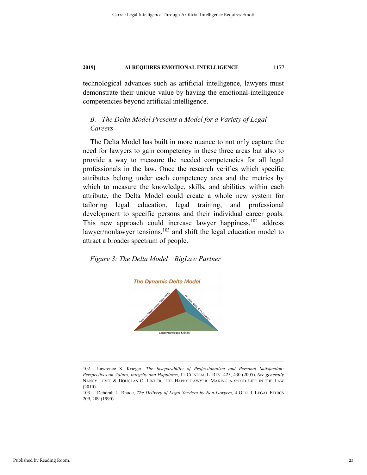technological advances such as artificial intelligence, lawyers must demonstrate their unique value by having the emotional-intelligence competencies beyond artificial intelligence.

# *B. The Delta Model Presents a Model for a Variety of Legal Careers*

The Delta Model has built in more nuance to not only capture the need for lawyers to gain competency in these three areas but also to provide a way to measure the needed competencies for all legal professionals in the law. Once the research verifies which specific attributes belong under each competency area and the metrics by which to measure the knowledge, skills, and abilities within each attribute, the Delta Model could create a whole new system for tailoring legal education, legal training, and professional development to specific persons and their individual career goals. This new approach could increase lawyer happiness,  $102$  address lawyer/nonlawyer tensions, $103$  and shift the legal education model to attract a broader spectrum of people.

*Figure 3: The Delta Model—BigLaw Partner* 



 <sup>102.</sup> Lawrence S. Krieger, *The Inseparability of Professionalism and Personal Satisfaction: Perspectives on Values, Integrity and Happiness*, 11 CLINICAL L. REV. 425, 430 (2005). *See generally* NANCY LEVIT & DOUGLAS O. LINDER, THE HAPPY LAWYER: MAKING A GOOD LIFE IN THE LAW (2010).

<sup>103.</sup> Deborah L. Rhode, *The Delivery of Legal Services by Non-Lawyers*, 4 GEO. J. LEGAL ETHICS 209, 209 (1990).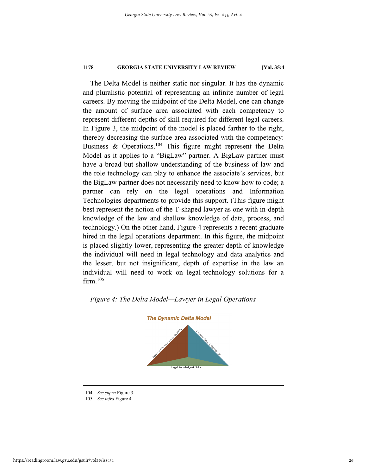The Delta Model is neither static nor singular. It has the dynamic and pluralistic potential of representing an infinite number of legal careers. By moving the midpoint of the Delta Model, one can change the amount of surface area associated with each competency to represent different depths of skill required for different legal careers. In Figure 3, the midpoint of the model is placed farther to the right, thereby decreasing the surface area associated with the competency: Business & Operations.<sup>104</sup> This figure might represent the Delta Model as it applies to a "BigLaw" partner. A BigLaw partner must have a broad but shallow understanding of the business of law and the role technology can play to enhance the associate's services, but the BigLaw partner does not necessarily need to know how to code; a partner can rely on the legal operations and Information Technologies departments to provide this support. (This figure might best represent the notion of the T-shaped lawyer as one with in-depth knowledge of the law and shallow knowledge of data, process, and technology.) On the other hand, Figure 4 represents a recent graduate hired in the legal operations department. In this figure, the midpoint is placed slightly lower, representing the greater depth of knowledge the individual will need in legal technology and data analytics and the lesser, but not insignificant, depth of expertise in the law an individual will need to work on legal-technology solutions for a  $firm.<sup>105</sup>$ 

# *Figure 4: The Delta Model—Lawyer in Legal Operations*



 <sup>104.</sup> *See supra* Figure 3.

 <sup>105.</sup> *See infra* Figure 4.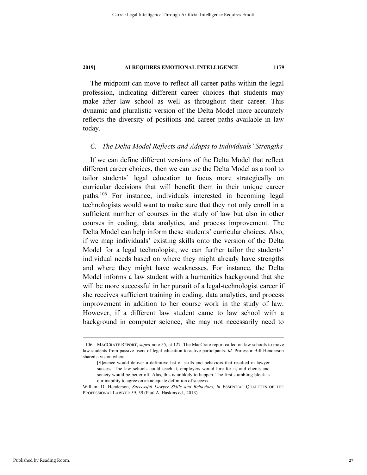The midpoint can move to reflect all career paths within the legal profession, indicating different career choices that students may make after law school as well as throughout their career. This dynamic and pluralistic version of the Delta Model more accurately reflects the diversity of positions and career paths available in law today.

# *C. The Delta Model Reflects and Adapts to Individuals' Strengths*

If we can define different versions of the Delta Model that reflect different career choices, then we can use the Delta Model as a tool to tailor students' legal education to focus more strategically on curricular decisions that will benefit them in their unique career paths.106 For instance, individuals interested in becoming legal technologists would want to make sure that they not only enroll in a sufficient number of courses in the study of law but also in other courses in coding, data analytics, and process improvement. The Delta Model can help inform these students' curricular choices. Also, if we map individuals' existing skills onto the version of the Delta Model for a legal technologist, we can further tailor the students' individual needs based on where they might already have strengths and where they might have weaknesses. For instance, the Delta Model informs a law student with a humanities background that she will be more successful in her pursuit of a legal-technologist career if she receives sufficient training in coding, data analytics, and process improvement in addition to her course work in the study of law. However, if a different law student came to law school with a background in computer science, she may not necessarily need to

 <sup>106</sup>*.* MACCRATE REPORT, *supra* note 55, at 127. The MacCrate report called on law schools to move law students from passive users of legal education to active participants. *Id.* Professor Bill Henderson shared a vision where:

<sup>[</sup>S]cience would deliver a definitive list of skills and behaviors that resulted in lawyer success. The law schools could teach it, employers would hire for it, and clients and society would be better off. Alas, this is unlikely to happen. The first stumbling block is our inability to agree on an adequate definition of success.

William D. Henderson, *Successful Lawyer Skills and Behaviors*, *in* ESSENTIAL QUALITIES OF THE PROFESSIONAL LAWYER 59, 59 (Paul A. Haskins ed., 2013).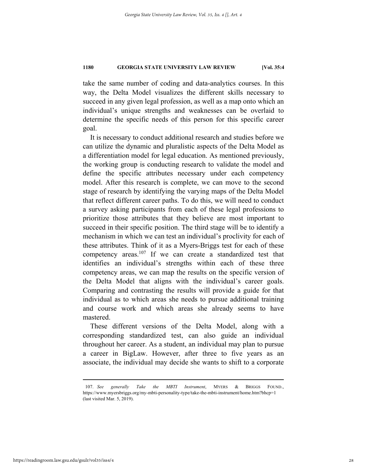take the same number of coding and data-analytics courses. In this way, the Delta Model visualizes the different skills necessary to succeed in any given legal profession, as well as a map onto which an individual's unique strengths and weaknesses can be overlaid to determine the specific needs of this person for this specific career goal.

It is necessary to conduct additional research and studies before we can utilize the dynamic and pluralistic aspects of the Delta Model as a differentiation model for legal education. As mentioned previously, the working group is conducting research to validate the model and define the specific attributes necessary under each competency model. After this research is complete, we can move to the second stage of research by identifying the varying maps of the Delta Model that reflect different career paths. To do this, we will need to conduct a survey asking participants from each of these legal professions to prioritize those attributes that they believe are most important to succeed in their specific position. The third stage will be to identify a mechanism in which we can test an individual's proclivity for each of these attributes. Think of it as a Myers-Briggs test for each of these competency areas.<sup>107</sup> If we can create a standardized test that identifies an individual's strengths within each of these three competency areas, we can map the results on the specific version of the Delta Model that aligns with the individual's career goals. Comparing and contrasting the results will provide a guide for that individual as to which areas she needs to pursue additional training and course work and which areas she already seems to have mastered.

These different versions of the Delta Model, along with a corresponding standardized test, can also guide an individual throughout her career. As a student, an individual may plan to pursue a career in BigLaw. However, after three to five years as an associate, the individual may decide she wants to shift to a corporate

 <sup>107.</sup> *See generally Take the MBTI Instrument*, MYERS & BRIGGS FOUND., https://www.myersbriggs.org/my-mbti-personality-type/take-the-mbti-instrument/home.htm?bhcp=1 (last visited Mar. 5, 2019).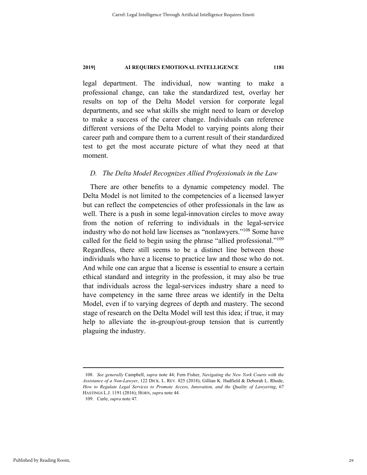legal department. The individual, now wanting to make a professional change, can take the standardized test, overlay her results on top of the Delta Model version for corporate legal departments, and see what skills she might need to learn or develop to make a success of the career change. Individuals can reference different versions of the Delta Model to varying points along their career path and compare them to a current result of their standardized test to get the most accurate picture of what they need at that moment.

# *D. The Delta Model Recognizes Allied Professionals in the Law*

There are other benefits to a dynamic competency model. The Delta Model is not limited to the competencies of a licensed lawyer but can reflect the competencies of other professionals in the law as well. There is a push in some legal-innovation circles to move away from the notion of referring to individuals in the legal-service industry who do not hold law licenses as "nonlawyers."108 Some have called for the field to begin using the phrase "allied professional."109 Regardless, there still seems to be a distinct line between those individuals who have a license to practice law and those who do not. And while one can argue that a license is essential to ensure a certain ethical standard and integrity in the profession, it may also be true that individuals across the legal-services industry share a need to have competency in the same three areas we identify in the Delta Model, even if to varying degrees of depth and mastery. The second stage of research on the Delta Model will test this idea; if true, it may help to alleviate the in-group/out-group tension that is currently plaguing the industry.

 <sup>108.</sup> *See generally* Campbell, *supra* note 44; Fern Fisher, *Navigating the New York Courts with the Assistance of a Non-Lawyer*, 122 DICK. L. REV. 825 (2018); Gillian K. Hadfield & Deborah L. Rhode, *How to Regulate Legal Services to Promote Access, Innovation, and the Quality of Lawyering*, 67 HASTINGS L.J. 1191 (2016); HORN, *supra* note 44.

 <sup>109.</sup> Curle, *supra* note 47.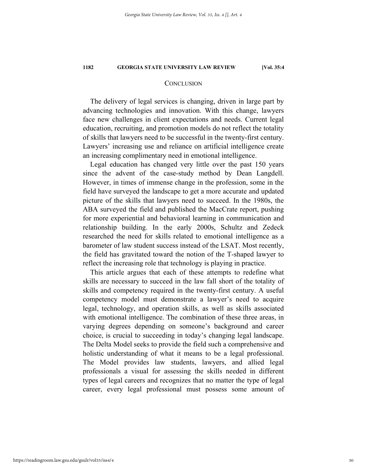# **CONCLUSION**

The delivery of legal services is changing, driven in large part by advancing technologies and innovation. With this change, lawyers face new challenges in client expectations and needs. Current legal education, recruiting, and promotion models do not reflect the totality of skills that lawyers need to be successful in the twenty-first century. Lawyers' increasing use and reliance on artificial intelligence create an increasing complimentary need in emotional intelligence.

Legal education has changed very little over the past 150 years since the advent of the case-study method by Dean Langdell. However, in times of immense change in the profession, some in the field have surveyed the landscape to get a more accurate and updated picture of the skills that lawyers need to succeed. In the 1980s, the ABA surveyed the field and published the MacCrate report, pushing for more experiential and behavioral learning in communication and relationship building. In the early 2000s, Schultz and Zedeck researched the need for skills related to emotional intelligence as a barometer of law student success instead of the LSAT. Most recently, the field has gravitated toward the notion of the T-shaped lawyer to reflect the increasing role that technology is playing in practice.

This article argues that each of these attempts to redefine what skills are necessary to succeed in the law fall short of the totality of skills and competency required in the twenty-first century. A useful competency model must demonstrate a lawyer's need to acquire legal, technology, and operation skills, as well as skills associated with emotional intelligence. The combination of these three areas, in varying degrees depending on someone's background and career choice, is crucial to succeeding in today's changing legal landscape. The Delta Model seeks to provide the field such a comprehensive and holistic understanding of what it means to be a legal professional. The Model provides law students, lawyers, and allied legal professionals a visual for assessing the skills needed in different types of legal careers and recognizes that no matter the type of legal career, every legal professional must possess some amount of